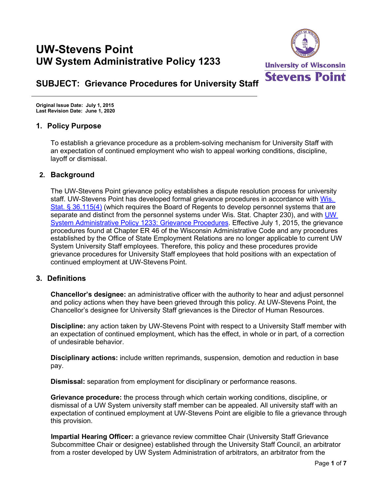# **UW-Stevens Point UW System Administrative Policy 1233**



# **SUBJECT: Grievance Procedures for University Staff**

**Original Issue Date: July 1, 2015 Last Revision Date: June 1, 2020**

## **1. Policy Purpose**

To establish a grievance procedure as a problem-solving mechanism for University Staff with an expectation of continued employment who wish to appeal working conditions, discipline, layoff or dismissal.

## **2. Background**

The UW-Stevens Point grievance policy establishes a dispute resolution process for university staff. UW-Stevens Point has developed formal grievance procedures in accordance with [Wis.](https://docs.legis.wisconsin.gov/statutes/statutes/36/115/4)  [Stat. § 36.115\(4\)](https://docs.legis.wisconsin.gov/statutes/statutes/36/115/4) (which requires the Board of Regents to develop personnel systems that are separate and distinct from the personnel systems under Wis. Stat. Chapter 230), and with UW [System Administrative Policy 1233:](https://www.wisconsin.edu/uw-policies/uw-system-administrative-policies/grievance-procedures/) Grievance Procedures. Effective July 1, 2015, the grievance procedures found at Chapter ER 46 of the Wisconsin Administrative Code and any procedures established by the Office of State Employment Relations are no longer applicable to current UW System University Staff employees. Therefore, this policy and these procedures provide grievance procedures for University Staff employees that hold positions with an expectation of continued employment at UW-Stevens Point.

#### **3. Definitions**

**Chancellor's designee:** an administrative officer with the authority to hear and adjust personnel and policy actions when they have been grieved through this policy. At UW-Stevens Point, the Chancellor's designee for University Staff grievances is the Director of Human Resources.

**Discipline:** any action taken by UW-Stevens Point with respect to a University Staff member with an expectation of continued employment, which has the effect, in whole or in part, of a correction of undesirable behavior.

**Disciplinary actions:** include written reprimands, suspension, demotion and reduction in base pay.

**Dismissal:** separation from employment for disciplinary or performance reasons.

**Grievance procedure:** the process through which certain working conditions, discipline, or dismissal of a UW System university staff member can be appealed. All university staff with an expectation of continued employment at UW-Stevens Point are eligible to file a grievance through this provision.

**Impartial Hearing Officer:** a grievance review committee Chair (University Staff Grievance Subcommittee Chair or designee) established through the University Staff Council, an arbitrator from a roster developed by UW System Administration of arbitrators, an arbitrator from the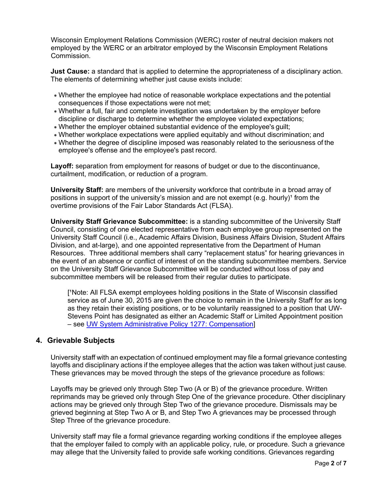Wisconsin Employment Relations Commission (WERC) roster of neutral decision makers not employed by the WERC or an arbitrator employed by the Wisconsin Employment Relations Commission.

**Just Cause:** a standard that is applied to determine the appropriateness of a disciplinary action. The elements of determining whether just cause exists include:

- Whether the employee had notice of reasonable workplace expectations and the potential consequences if those expectations were not met;
- Whether a full, fair and complete investigation was undertaken by the employer before discipline or discharge to determine whether the employee violated expectations;
- Whether the employer obtained substantial evidence of the employee's guilt;
- Whether workplace expectations were applied equitably and without discrimination; and
- Whether the degree of discipline imposed was reasonably related to the seriousness of the employee's offense and the employee's past record.

**Layoff:** separation from employment for reasons of budget or due to the discontinuance, curtailment, modification, or reduction of a program.

**University Staff:** are members of the university workforce that contribute in a broad array of positions in support of the university's mission and are not exempt (e.g. hourly)<sup>1</sup> from the overtime provisions of the Fair Labor Standards Act (FLSA).

**University Staff Grievance Subcommittee:** is a standing subcommittee of the University Staff Council, consisting of one elected representative from each employee group represented on the University Staff Council (i.e., Academic Affairs Division, Business Affairs Division, Student Affairs Division, and at-large), and one appointed representative from the Department of Human Resources. Three additional members shall carry "replacement status" for hearing grievances in the event of an absence or conflict of interest of on the standing subcommittee members. Service on the University Staff Grievance Subcommittee will be conducted without loss of pay and subcommittee members will be released from their regular duties to participate.

['Note: All FLSA exempt employees holding positions in the State of Wisconsin classified service as of June 30, 2015 are given the choice to remain in the University Staff for as long as they retain their existing positions, or to be voluntarily reassigned to a position that UW-Stevens Point has designated as either an Academic Staff or Limited Appointment position – see [UW System Administrative Policy 1277:](https://www.wisconsin.edu/uw-policies/uw-system-administrative-policies/compensation/compensation-merit-pay/) Compensation]

#### **4. Grievable Subjects**

University staff with an expectation of continued employment may file a formal grievance contesting layoffs and disciplinary actions if the employee alleges that the action was taken without just cause. These grievances may be moved through the steps of the grievance procedure as follows:

Layoffs may be grieved only through Step Two (A or B) of the grievance procedure. Written reprimands may be grieved only through Step One of the grievance procedure. Other disciplinary actions may be grieved only through Step Two of the grievance procedure. Dismissals may be grieved beginning at Step Two A or B, and Step Two A grievances may be processed through Step Three of the grievance procedure.

University staff may file a formal grievance regarding working conditions if the employee alleges that the employer failed to comply with an applicable policy, rule, or procedure. Such a grievance may allege that the University failed to provide safe working conditions. Grievances regarding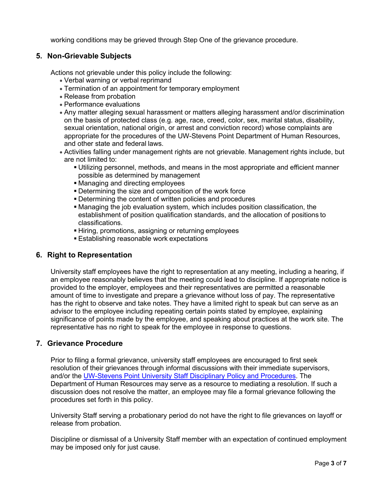working conditions may be grieved through Step One of the grievance procedure.

# **5. Non-Grievable Subjects**

Actions not grievable under this policy include the following:

- Verbal warning or verbal reprimand
- Termination of an appointment for temporary employment
- Release from probation
- Performance evaluations
- Any matter alleging sexual harassment or matters alleging harassment and/or discrimination on the basis of protected class (e.g. age, race, creed, color, sex, marital status, disability, sexual orientation, national origin, or arrest and conviction record) whose complaints are appropriate for the procedures of the UW-Stevens Point Department of Human Resources, and other state and federal laws.
- Activities falling under management rights are not grievable. Management rights include, but are not limited to:
	- Utilizing personnel, methods, and means in the most appropriate and efficient manner possible as determined by management
	- Managing and directing employees
	- Determining the size and composition of the work force
	- Determining the content of written policies and procedures
	- Managing the job evaluation system, which includes position classification, the establishment of position qualification standards, and the allocation of positions to classifications.
	- Hiring, promotions, assigning or returning employees
	- Establishing reasonable work expectations

# **6. Right to Representation**

University staff employees have the right to representation at any meeting, including a hearing, if an employee reasonably believes that the meeting could lead to discipline. If appropriate notice is provided to the employer, employees and their representatives are permitted a reasonable amount of time to investigate and prepare a grievance without loss of pay. The representative has the right to observe and take notes. They have a limited right to speak but can serve as an advisor to the employee including repeating certain points stated by employee, explaining significance of points made by the employee, and speaking about practices at the work site. The representative has no right to speak for the employee in response to questions.

# **7. Grievance Procedure**

Prior to filing a formal grievance, university staff employees are encouraged to first seek resolution of their grievances through informal discussions with their immediate supervisors, and/or the [UW-Stevens Point University Staff Disciplinary Policy and Procedures.](https://www.uwsp.edu/hr/Documents/University%20Staff%20Disciplinary%20Policy.pdf) The Department of Human Resources may serve as a resource to mediating a resolution. If such a discussion does not resolve the matter, an employee may file a formal grievance following the procedures set forth in this policy.

University Staff serving a probationary period do not have the right to file grievances on layoff or release from probation.

Discipline or dismissal of a University Staff member with an expectation of continued employment may be imposed only for just cause.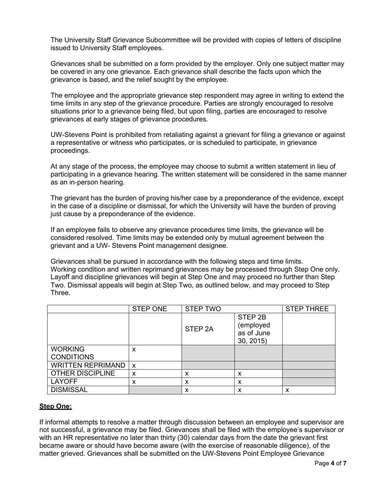The University Staff Grievance Subcommittee will be provided with copies of letters of discipline issued to University Staff employees.

Grievances shall be submitted on a form provided by the employer. Only one subject matter may be covered in any one grievance. Each grievance shall describe the facts upon which the grievance is based, and the relief sought by the employee.

The employee and the appropriate grievance step respondent may agree in writing to extend the time limits in any step of the grievance procedure. Parties are strongly encouraged to resolve situations prior to a grievance being filed, but upon filing, parties are encouraged to resolve grievances at early stages of grievance procedures.

UW-Stevens Point is prohibited from retaliating against a grievant for filing a grievance or against a representative or witness who participates, or is scheduled to participate, in grievance proceedings.

At any stage of the process, the employee may choose to submit a written statement in lieu of participating in a grievance hearing. The written statement will be considered in the same manner as an in-person hearing.

The grievant has the burden of proving his/her case by a preponderance of the evidence, except in the case of a discipline or dismissal, for which the University will have the burden of proving just cause by a preponderance of the evidence.

If an employee fails to observe any grievance procedures time limits, the grievance will be considered resolved. Time limits may be extended only by mutual agreement between the grievant and a UW- Stevens Point management designee.

Grievances shall be pursued in accordance with the following steps and time limits. Working condition and written reprimand grievances may be processed through Step One only. Layoff and discipline grievances will begin at Step One and may proceed no further than Step Two. Dismissal appeals will begin at Step Two, as outlined below, and may proceed to Step Three.

|                          | <b>STEP ONE</b>           | <b>STEP TWO</b>    |                                                | <b>STEP THREE</b> |
|--------------------------|---------------------------|--------------------|------------------------------------------------|-------------------|
|                          |                           | STEP <sub>2A</sub> | STEP 2B<br>(employed<br>as of June<br>30, 2015 |                   |
| <b>WORKING</b>           | x                         |                    |                                                |                   |
| <b>CONDITIONS</b>        |                           |                    |                                                |                   |
| <b>WRITTEN REPRIMAND</b> | $\boldsymbol{\mathsf{x}}$ |                    |                                                |                   |
| <b>OTHER DISCIPLINE</b>  | X                         | x                  | х                                              |                   |
| <b>LAYOFF</b>            | x                         | х                  | x                                              |                   |
| <b>DISMISSAL</b>         |                           | х                  | x                                              | х                 |

#### **Step One:**

If informal attempts to resolve a matter through discussion between an employee and supervisor are not successful, a grievance may be filed. Grievances shall be filed with the employee's supervisor or with an HR representative no later than thirty (30) calendar days from the date the grievant first became aware or should have become aware (with the exercise of reasonable diligence), of the matter grieved. Grievances shall be submitted on the UW-Stevens Point Employee Grievance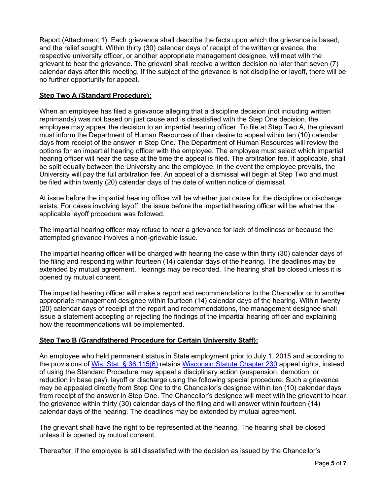Report (Attachment 1). Each grievance shall describe the facts upon which the grievance is based, and the relief sought. Within thirty (30) calendar days of receipt of the written grievance, the respective university officer, or another appropriate management designee, will meet with the grievant to hear the grievance. The grievant shall receive a written decision no later than seven (7) calendar days after this meeting. If the subject of the grievance is not discipline or layoff, there will be no further opportunity for appeal.

#### **Step Two A (Standard Procedure):**

When an employee has filed a grievance alleging that a discipline decision (not including written reprimands) was not based on just cause and is dissatisfied with the Step One decision, the employee may appeal the decision to an impartial hearing officer. To file at Step Two A, the grievant must inform the Department of Human Resources of their desire to appeal within ten (10) calendar days from receipt of the answer in Step One. The Department of Human Resources will review the options for an impartial hearing officer with the employee. The employee must select which impartial hearing officer will hear the case at the time the appeal is filed. The arbitration fee, if applicable, shall be split equally between the University and the employee. In the event the employee prevails, the University will pay the full arbitration fee. An appeal of a dismissal will begin at Step Two and must be filed within twenty (20) calendar days of the date of written notice of dismissal.

At issue before the impartial hearing officer will be whether just cause for the discipline or discharge exists. For cases involving layoff, the issue before the impartial hearing officer will be whether the applicable layoff procedure was followed.

The impartial hearing officer may refuse to hear a grievance for lack of timeliness or because the attempted grievance involves a non-grievable issue.

The impartial hearing officer will be charged with hearing the case within thirty (30) calendar days of the filing and responding within fourteen (14) calendar days of the hearing. The deadlines may be extended by mutual agreement. Hearings may be recorded. The hearing shall be closed unless it is opened by mutual consent.

The impartial hearing officer will make a report and recommendations to the Chancellor or to another appropriate management designee within fourteen (14) calendar days of the hearing. Within twenty (20) calendar days of receipt of the report and recommendations, the management designee shall issue a statement accepting or rejecting the findings of the impartial hearing officer and explaining how the recommendations will be implemented.

# **Step Two B (Grandfathered Procedure for Certain University Staff):**

An employee who held permanent status in State employment prior to July 1, 2015 and according to the provisions of [Wis. Stat. § 36.115\(6\)](https://docs.legis.wisconsin.gov/statutes/statutes/36/115/6) retains [Wisconsin Statute Chapter 230](https://docs.legis.wisconsin.gov/statutes/statutes/230) appeal rights, instead of using the Standard Procedure may appeal a disciplinary action (suspension, demotion, or reduction in base pay), layoff or discharge using the following special procedure. Such a grievance may be appealed directly from Step One to the Chancellor's designee within ten (10) calendar days from receipt of the answer in Step One. The Chancellor's designee will meet with the grievant to hear the grievance within thirty (30) calendar days of the filing and will answer within fourteen (14) calendar days of the hearing. The deadlines may be extended by mutual agreement.

The grievant shall have the right to be represented at the hearing. The hearing shall be closed unless it is opened by mutual consent.

Thereafter, if the employee is still dissatisfied with the decision as issued by the Chancellor's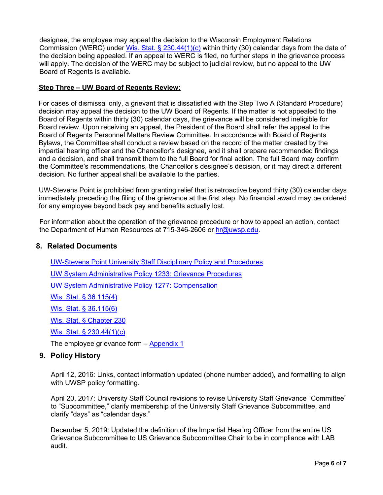designee, the employee may appeal the decision to the Wisconsin Employment Relations Commission (WERC) under [Wis. Stat. § 230.44\(1\)\(c\)](https://docs.legis.wisconsin.gov/statutes/statutes/230/II/44/1/c) within thirty (30) calendar days from the date of the decision being appealed. If an appeal to WERC is filed, no further steps in the grievance process will apply. The decision of the WERC may be subject to judicial review, but no appeal to the UW Board of Regents is available.

#### **Step Three – UW Board of Regents Review:**

For cases of dismissal only, a grievant that is dissatisfied with the Step Two A (Standard Procedure) decision may appeal the decision to the UW Board of Regents. If the matter is not appealed to the Board of Regents within thirty (30) calendar days, the grievance will be considered ineligible for Board review. Upon receiving an appeal, the President of the Board shall refer the appeal to the Board of Regents Personnel Matters Review Committee. In accordance with Board of Regents Bylaws, the Committee shall conduct a review based on the record of the matter created by the impartial hearing officer and the Chancellor's designee, and it shall prepare recommended findings and a decision, and shall transmit them to the full Board for final action. The full Board may confirm the Committee's recommendations, the Chancellor's designee's decision, or it may direct a different decision. No further appeal shall be available to the parties.

UW-Stevens Point is prohibited from granting relief that is retroactive beyond thirty (30) calendar days immediately preceding the filing of the grievance at the first step. No financial award may be ordered for any employee beyond back pay and benefits actually lost.

For information about the operation of the grievance procedure or how to appeal an action, contact the Department of Human Resources at 715-346-2606 or [hr@uwsp.edu.](mailto:hr@uwsp.edu)

## **8. Related Documents**

[UW-Stevens Point University Staff Disciplinary Policy and Procedures](https://www.uwsp.edu/hr/Documents/University%20Staff%20Disciplinary%20Policy.pdf)

[UW System Administrative Policy 1233:](https://www.wisconsin.edu/uw-policies/uw-system-administrative-policies/grievance-procedures/) Grievance Procedures

[UW System Administrative Policy 1277:](https://www.wisconsin.edu/uw-policies/uw-system-administrative-policies/compensation/compensation-merit-pay/) Compensation

[Wis. Stat. § 36.115\(4\)](https://docs.legis.wisconsin.gov/statutes/statutes/36/115/4)

[Wis. Stat. § 36.115\(6\)](https://docs.legis.wisconsin.gov/statutes/statutes/36/115/6)

[Wis. Stat. § Chapter 230](https://docs.legis.wisconsin.gov/statutes/statutes/230)

[Wis. Stat. § 230.44\(1\)\(c\)](https://docs.legis.wisconsin.gov/statutes/statutes/230/II/44/1/c)

The employee grievance form – [Appendix 1](https://www.wisconsin.edu/uw-policies/download/draft_policy_documents/Grievance-PDF.pdf)

#### **9. Policy History**

April 12, 2016: Links, contact information updated (phone number added), and formatting to align with UWSP policy formatting.

April 20, 2017: University Staff Council revisions to revise University Staff Grievance "Committee" to "Subcommittee," clarify membership of the University Staff Grievance Subcommittee, and clarify "days" as "calendar days."

December 5, 2019: Updated the definition of the Impartial Hearing Officer from the entire US Grievance Subcommittee to US Grievance Subcommittee Chair to be in compliance with LAB audit.